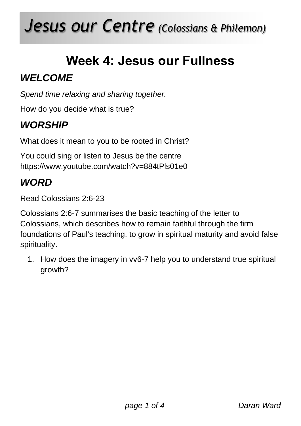# *Jesus our Centre (Colossians & Philemon)*

## **Week 4: Jesus our Fullness**

### *WELCOME*

*Spend time relaxing and sharing together.*

How do you decide what is true?

### *WORSHIP*

What does it mean to you to be rooted in Christ?

You could sing or listen to Jesus be the centre https://www.youtube.com/watch?v=884tPls01e0

### *WORD*

Read Colossians 2:6-23

Colossians 2:6-7 summarises the basic teaching of the letter to Colossians, which describes how to remain faithful through the firm foundations of Paul's teaching, to grow in spiritual maturity and avoid false spirituality.

1. How does the imagery in vv6-7 help you to understand true spiritual growth?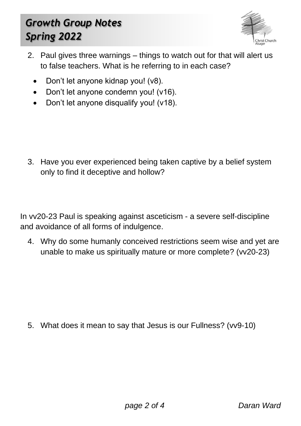### *Growth Group Notes Spring 2022*



- 2. Paul gives three warnings things to watch out for that will alert us to false teachers. What is he referring to in each case?
	- Don't let anyone kidnap you! (v8).
	- Don't let anyone condemn you! (v16).
	- Don't let anyone disqualify you! (v18).

3. Have you ever experienced being taken captive by a belief system only to find it deceptive and hollow?

In vv20-23 Paul is speaking against asceticism - a severe self-discipline and avoidance of all forms of indulgence.

4. Why do some humanly conceived restrictions seem wise and yet are unable to make us spiritually mature or more complete? (vv20-23)

5. What does it mean to say that Jesus is our Fullness? (vv9-10)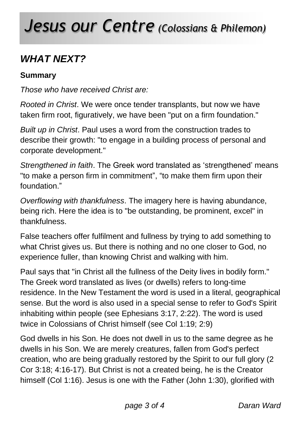## *Jesus our Centre (Colossians & Philemon)*

### *WHAT NEXT?*

#### **Summary**

*Those who have received Christ are:*

*Rooted in Christ*. We were once tender transplants, but now we have taken firm root, figuratively, we have been "put on a firm foundation."

*Built up in Christ*. Paul uses a word from the construction trades to describe their growth: "to engage in a building process of personal and corporate development."

*Strengthened in faith*. The Greek word translated as 'strengthened' means "to make a person firm in commitment", "to make them firm upon their foundation."

*Overflowing with thankfulness*. The imagery here is having abundance, being rich. Here the idea is to "be outstanding, be prominent, excel" in thankfulness.

False teachers offer fulfilment and fullness by trying to add something to what Christ gives us. But there is nothing and no one closer to God, no experience fuller, than knowing Christ and walking with him.

Paul says that "in Christ all the fullness of the Deity lives in bodily form." The Greek word translated as lives (or dwells) refers to long-time residence. In the New Testament the word is used in a literal, geographical sense. But the word is also used in a special sense to refer to God's Spirit inhabiting within people (see Ephesians 3:17, 2:22). The word is used twice in Colossians of Christ himself (see Col 1:19; 2:9)

God dwells in his Son. He does not dwell in us to the same degree as he dwells in his Son. We are merely creatures, fallen from God's perfect creation, who are being gradually restored by the Spirit to our full glory (2 Cor 3:18; 4:16-17). But Christ is not a created being, he is the Creator himself (Col 1:16). Jesus is one with the Father (John 1:30), glorified with